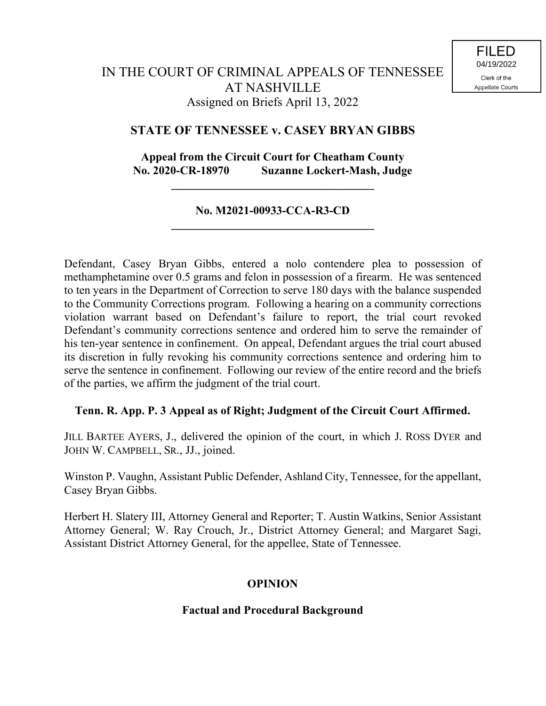## **STATE OF TENNESSEE v. CASEY BRYAN GIBBS**

## **Appeal from the Circuit Court for Cheatham County No. 2020-CR-18970 Suzanne Lockert-Mash, Judge**

**\_\_\_\_\_\_\_\_\_\_\_\_\_\_\_\_\_\_\_\_\_\_\_\_\_\_\_\_\_\_\_\_\_\_\_**

#### **No. M2021-00933-CCA-R3-CD \_\_\_\_\_\_\_\_\_\_\_\_\_\_\_\_\_\_\_\_\_\_\_\_\_\_\_\_\_\_\_\_\_\_\_**

Defendant, Casey Bryan Gibbs, entered a nolo contendere plea to possession of methamphetamine over 0.5 grams and felon in possession of a firearm. He was sentenced to ten years in the Department of Correction to serve 180 days with the balance suspended to the Community Corrections program. Following a hearing on a community corrections violation warrant based on Defendant's failure to report, the trial court revoked Defendant's community corrections sentence and ordered him to serve the remainder of his ten-year sentence in confinement. On appeal, Defendant argues the trial court abused its discretion in fully revoking his community corrections sentence and ordering him to serve the sentence in confinement. Following our review of the entire record and the briefs of the parties, we affirm the judgment of the trial court.

### **Tenn. R. App. P. 3 Appeal as of Right; Judgment of the Circuit Court Affirmed.**

JILL BARTEE AYERS, J., delivered the opinion of the court, in which J. ROSS DYER and JOHN W. CAMPBELL, SR., JJ., joined.

Winston P. Vaughn, Assistant Public Defender, Ashland City, Tennessee, for the appellant, Casey Bryan Gibbs.

Herbert H. Slatery III, Attorney General and Reporter; T. Austin Watkins, Senior Assistant Attorney General; W. Ray Crouch, Jr., District Attorney General; and Margaret Sagi, Assistant District Attorney General, for the appellee, State of Tennessee.

### **OPINION**

### **Factual and Procedural Background**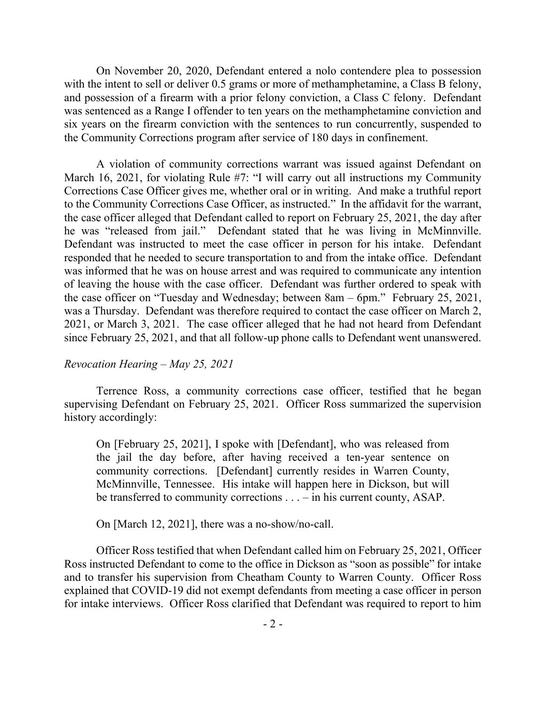On November 20, 2020, Defendant entered a nolo contendere plea to possession with the intent to sell or deliver 0.5 grams or more of methamphetamine, a Class B felony, and possession of a firearm with a prior felony conviction, a Class C felony. Defendant was sentenced as a Range I offender to ten years on the methamphetamine conviction and six years on the firearm conviction with the sentences to run concurrently, suspended to the Community Corrections program after service of 180 days in confinement.

A violation of community corrections warrant was issued against Defendant on March 16, 2021, for violating Rule #7: "I will carry out all instructions my Community Corrections Case Officer gives me, whether oral or in writing. And make a truthful report to the Community Corrections Case Officer, as instructed." In the affidavit for the warrant, the case officer alleged that Defendant called to report on February 25, 2021, the day after he was "released from jail." Defendant stated that he was living in McMinnville. Defendant was instructed to meet the case officer in person for his intake. Defendant responded that he needed to secure transportation to and from the intake office. Defendant was informed that he was on house arrest and was required to communicate any intention of leaving the house with the case officer. Defendant was further ordered to speak with the case officer on "Tuesday and Wednesday; between 8am – 6pm." February 25, 2021, was a Thursday. Defendant was therefore required to contact the case officer on March 2, 2021, or March 3, 2021. The case officer alleged that he had not heard from Defendant since February 25, 2021, and that all follow-up phone calls to Defendant went unanswered.

#### *Revocation Hearing – May 25, 2021*

Terrence Ross, a community corrections case officer, testified that he began supervising Defendant on February 25, 2021. Officer Ross summarized the supervision history accordingly:

On [February 25, 2021], I spoke with [Defendant], who was released from the jail the day before, after having received a ten-year sentence on community corrections. [Defendant] currently resides in Warren County, McMinnville, Tennessee. His intake will happen here in Dickson, but will be transferred to community corrections . . . – in his current county, ASAP.

On [March 12, 2021], there was a no-show/no-call.

Officer Ross testified that when Defendant called him on February 25, 2021, Officer Ross instructed Defendant to come to the office in Dickson as "soon as possible" for intake and to transfer his supervision from Cheatham County to Warren County. Officer Ross explained that COVID-19 did not exempt defendants from meeting a case officer in person for intake interviews. Officer Ross clarified that Defendant was required to report to him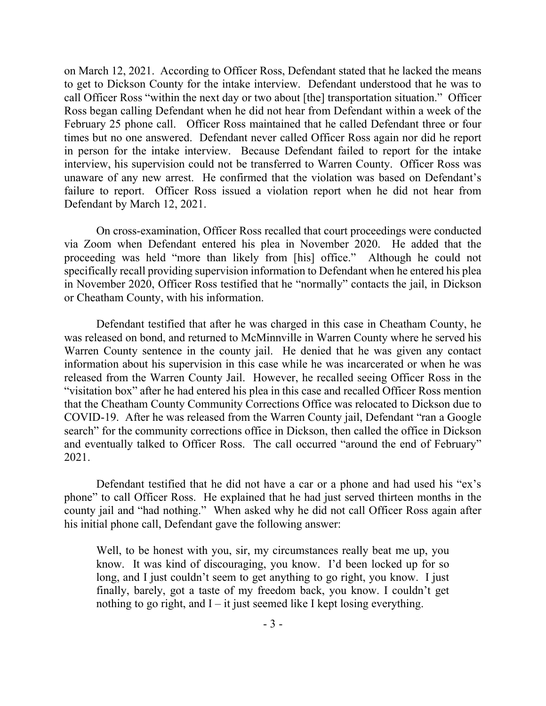on March 12, 2021. According to Officer Ross, Defendant stated that he lacked the means to get to Dickson County for the intake interview. Defendant understood that he was to call Officer Ross "within the next day or two about [the] transportation situation." Officer Ross began calling Defendant when he did not hear from Defendant within a week of the February 25 phone call. Officer Ross maintained that he called Defendant three or four times but no one answered. Defendant never called Officer Ross again nor did he report in person for the intake interview. Because Defendant failed to report for the intake interview, his supervision could not be transferred to Warren County. Officer Ross was unaware of any new arrest. He confirmed that the violation was based on Defendant's failure to report. Officer Ross issued a violation report when he did not hear from Defendant by March 12, 2021.

On cross-examination, Officer Ross recalled that court proceedings were conducted via Zoom when Defendant entered his plea in November 2020. He added that the proceeding was held "more than likely from [his] office." Although he could not specifically recall providing supervision information to Defendant when he entered his plea in November 2020, Officer Ross testified that he "normally" contacts the jail, in Dickson or Cheatham County, with his information.

Defendant testified that after he was charged in this case in Cheatham County, he was released on bond, and returned to McMinnville in Warren County where he served his Warren County sentence in the county jail. He denied that he was given any contact information about his supervision in this case while he was incarcerated or when he was released from the Warren County Jail. However, he recalled seeing Officer Ross in the "visitation box" after he had entered his plea in this case and recalled Officer Ross mention that the Cheatham County Community Corrections Office was relocated to Dickson due to COVID-19. After he was released from the Warren County jail, Defendant "ran a Google search" for the community corrections office in Dickson, then called the office in Dickson and eventually talked to Officer Ross. The call occurred "around the end of February" 2021.

Defendant testified that he did not have a car or a phone and had used his "ex's phone" to call Officer Ross. He explained that he had just served thirteen months in the county jail and "had nothing." When asked why he did not call Officer Ross again after his initial phone call, Defendant gave the following answer:

Well, to be honest with you, sir, my circumstances really beat me up, you know. It was kind of discouraging, you know. I'd been locked up for so long, and I just couldn't seem to get anything to go right, you know. I just finally, barely, got a taste of my freedom back, you know. I couldn't get nothing to go right, and  $I - it$  just seemed like I kept losing everything.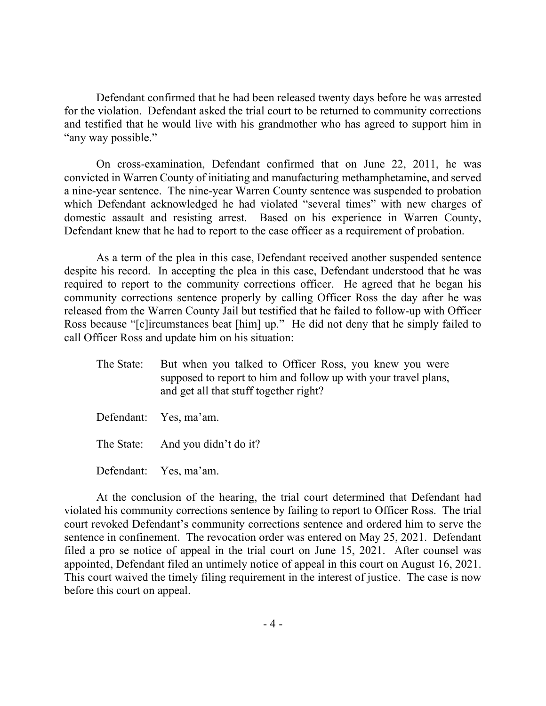Defendant confirmed that he had been released twenty days before he was arrested for the violation. Defendant asked the trial court to be returned to community corrections and testified that he would live with his grandmother who has agreed to support him in "any way possible."

On cross-examination, Defendant confirmed that on June 22, 2011, he was convicted in Warren County of initiating and manufacturing methamphetamine, and served a nine-year sentence. The nine-year Warren County sentence was suspended to probation which Defendant acknowledged he had violated "several times" with new charges of domestic assault and resisting arrest. Based on his experience in Warren County, Defendant knew that he had to report to the case officer as a requirement of probation.

As a term of the plea in this case, Defendant received another suspended sentence despite his record. In accepting the plea in this case, Defendant understood that he was required to report to the community corrections officer. He agreed that he began his community corrections sentence properly by calling Officer Ross the day after he was released from the Warren County Jail but testified that he failed to follow-up with Officer Ross because "[c]ircumstances beat [him] up." He did not deny that he simply failed to call Officer Ross and update him on his situation:

| The State: | But when you talked to Officer Ross, you knew you were<br>supposed to report to him and follow up with your travel plans,<br>and get all that stuff together right? |
|------------|---------------------------------------------------------------------------------------------------------------------------------------------------------------------|
|            | Defendant: Yes, ma'am.                                                                                                                                              |
|            | The State: And you didn't do it?                                                                                                                                    |

Defendant: Yes, ma'am.

At the conclusion of the hearing, the trial court determined that Defendant had violated his community corrections sentence by failing to report to Officer Ross. The trial court revoked Defendant's community corrections sentence and ordered him to serve the sentence in confinement. The revocation order was entered on May 25, 2021. Defendant filed a pro se notice of appeal in the trial court on June 15, 2021. After counsel was appointed, Defendant filed an untimely notice of appeal in this court on August 16, 2021. This court waived the timely filing requirement in the interest of justice. The case is now before this court on appeal.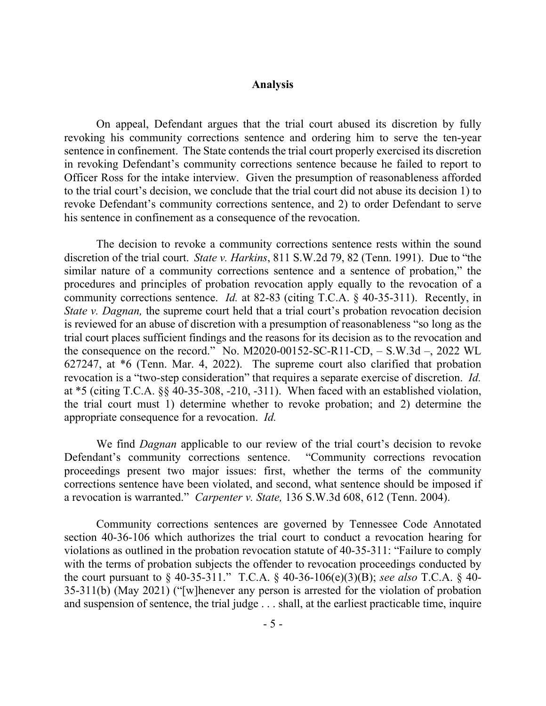#### **Analysis**

On appeal, Defendant argues that the trial court abused its discretion by fully revoking his community corrections sentence and ordering him to serve the ten-year sentence in confinement. The State contends the trial court properly exercised its discretion in revoking Defendant's community corrections sentence because he failed to report to Officer Ross for the intake interview. Given the presumption of reasonableness afforded to the trial court's decision, we conclude that the trial court did not abuse its decision 1) to revoke Defendant's community corrections sentence, and 2) to order Defendant to serve his sentence in confinement as a consequence of the revocation.

The decision to revoke a community corrections sentence rests within the sound discretion of the trial court. *State v. Harkins*, 811 S.W.2d 79, 82 (Tenn. 1991). Due to "the similar nature of a community corrections sentence and a sentence of probation," the procedures and principles of probation revocation apply equally to the revocation of a community corrections sentence. *Id.* at 82-83 (citing T.C.A. § 40-35-311). Recently, in *State v. Dagnan*, the supreme court held that a trial court's probation revocation decision is reviewed for an abuse of discretion with a presumption of reasonableness "so long as the trial court places sufficient findings and the reasons for its decision as to the revocation and the consequence on the record." No. M2020-00152-SC-R11-CD,  $-$  S.W.3d  $-$ , 2022 WL 627247, at \*6 (Tenn. Mar. 4, 2022). The supreme court also clarified that probation revocation is a "two-step consideration" that requires a separate exercise of discretion. *Id.*  at \*5 (citing T.C.A. §§ 40-35-308, -210, -311). When faced with an established violation, the trial court must 1) determine whether to revoke probation; and 2) determine the appropriate consequence for a revocation. *Id.*

We find *Dagnan* applicable to our review of the trial court's decision to revoke Defendant's community corrections sentence. "Community corrections revocation proceedings present two major issues: first, whether the terms of the community corrections sentence have been violated, and second, what sentence should be imposed if a revocation is warranted." *Carpenter v. State,* 136 S.W.3d 608, 612 (Tenn. 2004).

Community corrections sentences are governed by Tennessee Code Annotated section 40-36-106 which authorizes the trial court to conduct a revocation hearing for violations as outlined in the probation revocation statute of 40-35-311: "Failure to comply with the terms of probation subjects the offender to revocation proceedings conducted by the court pursuant to § 40-35-311." T.C.A. § 40-36-106(e)(3)(B); *see also* T.C.A. § 40- 35-311(b) (May 2021) ("[w]henever any person is arrested for the violation of probation and suspension of sentence, the trial judge . . . shall, at the earliest practicable time, inquire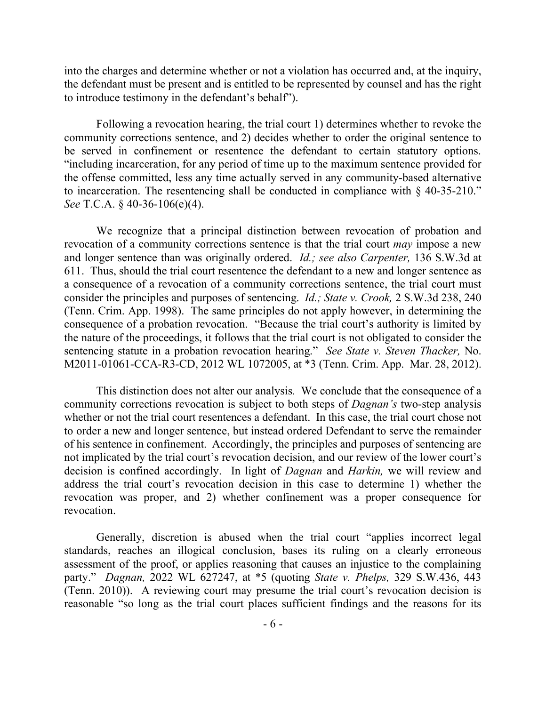into the charges and determine whether or not a violation has occurred and, at the inquiry, the defendant must be present and is entitled to be represented by counsel and has the right to introduce testimony in the defendant's behalf").

Following a revocation hearing, the trial court 1) determines whether to revoke the community corrections sentence, and 2) decides whether to order the original sentence to be served in confinement or resentence the defendant to certain statutory options. "including incarceration, for any period of time up to the maximum sentence provided for the offense committed, less any time actually served in any community-based alternative to incarceration. The resentencing shall be conducted in compliance with § 40-35-210." *See* T.C.A. § 40-36-106(e)(4).

We recognize that a principal distinction between revocation of probation and revocation of a community corrections sentence is that the trial court *may* impose a new and longer sentence than was originally ordered. *Id.; see also Carpenter,* 136 S.W.3d at 611. Thus, should the trial court resentence the defendant to a new and longer sentence as a consequence of a revocation of a community corrections sentence, the trial court must consider the principles and purposes of sentencing. *Id.; State v. Crook,* 2 S.W.3d 238, 240 (Tenn. Crim. App. 1998). The same principles do not apply however, in determining the consequence of a probation revocation. "Because the trial court's authority is limited by the nature of the proceedings, it follows that the trial court is not obligated to consider the sentencing statute in a probation revocation hearing." *See State v. Steven Thacker,* No. M2011-01061-CCA-R3-CD, 2012 WL 1072005, at \*3 (Tenn. Crim. App. Mar. 28, 2012).

This distinction does not alter our analysis*.* We conclude that the consequence of a community corrections revocation is subject to both steps of *Dagnan's* two-step analysis whether or not the trial court resentences a defendant. In this case, the trial court chose not to order a new and longer sentence, but instead ordered Defendant to serve the remainder of his sentence in confinement. Accordingly, the principles and purposes of sentencing are not implicated by the trial court's revocation decision, and our review of the lower court's decision is confined accordingly. In light of *Dagnan* and *Harkin,* we will review and address the trial court's revocation decision in this case to determine 1) whether the revocation was proper, and 2) whether confinement was a proper consequence for revocation.

Generally, discretion is abused when the trial court "applies incorrect legal standards, reaches an illogical conclusion, bases its ruling on a clearly erroneous assessment of the proof, or applies reasoning that causes an injustice to the complaining party." *Dagnan,* 2022 WL 627247, at \*5 (quoting *State v. Phelps,* 329 S.W.436, 443 (Tenn. 2010)). A reviewing court may presume the trial court's revocation decision is reasonable "so long as the trial court places sufficient findings and the reasons for its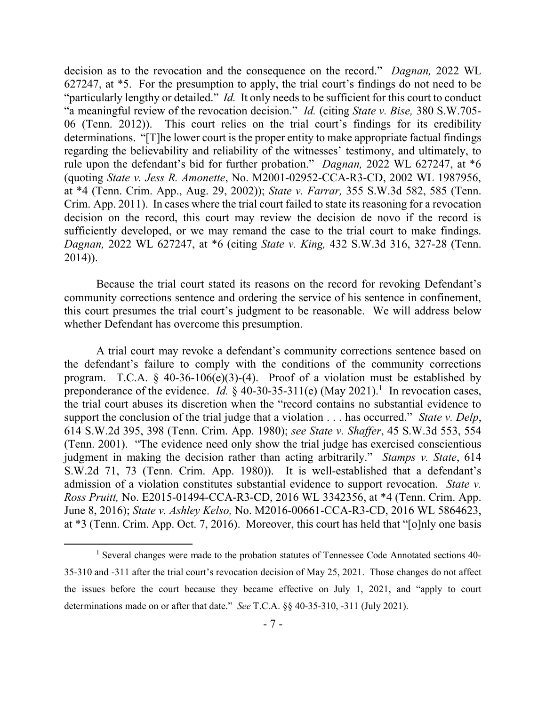decision as to the revocation and the consequence on the record." *Dagnan,* 2022 WL 627247, at \*5. For the presumption to apply, the trial court's findings do not need to be "particularly lengthy or detailed." *Id.* It only needs to be sufficient for this court to conduct "a meaningful review of the revocation decision." *Id.* (citing *State v. Bise,* 380 S.W.705- 06 (Tenn. 2012)). This court relies on the trial court's findings for its credibility determinations. "[T]he lower court is the proper entity to make appropriate factual findings regarding the believability and reliability of the witnesses' testimony, and ultimately, to rule upon the defendant's bid for further probation." *Dagnan,* 2022 WL 627247, at \*6 (quoting *State v. Jess R. Amonette*, No. M2001-02952-CCA-R3-CD, 2002 WL 1987956, at \*4 (Tenn. Crim. App., Aug. 29, 2002)); *State v. Farrar,* 355 S.W.3d 582, 585 (Tenn. Crim. App. 2011). In cases where the trial court failed to state its reasoning for a revocation decision on the record, this court may review the decision de novo if the record is sufficiently developed, or we may remand the case to the trial court to make findings. *Dagnan,* 2022 WL 627247, at \*6 (citing *State v. King,* 432 S.W.3d 316, 327-28 (Tenn. 2014)).

Because the trial court stated its reasons on the record for revoking Defendant's community corrections sentence and ordering the service of his sentence in confinement, this court presumes the trial court's judgment to be reasonable. We will address below whether Defendant has overcome this presumption.

A trial court may revoke a defendant's community corrections sentence based on the defendant's failure to comply with the conditions of the community corrections program. T.C.A.  $\frac{6}{7}$  40-36-106(e)(3)-(4). Proof of a violation must be established by preponderance of the evidence. *Id.* § 40-30-35-311(e) (May 2021).<sup>1</sup> In revocation cases, the trial court abuses its discretion when the "record contains no substantial evidence to support the conclusion of the trial judge that a violation . . . has occurred." *State v. Delp*, 614 S.W.2d 395, 398 (Tenn. Crim. App. 1980); *see State v. Shaffer*, 45 S.W.3d 553, 554 (Tenn. 2001). "The evidence need only show the trial judge has exercised conscientious judgment in making the decision rather than acting arbitrarily." *Stamps v. State*, 614 S.W.2d 71, 73 (Tenn. Crim. App. 1980)). It is well-established that a defendant's admission of a violation constitutes substantial evidence to support revocation. *State v. Ross Pruitt,* No. E2015-01494-CCA-R3-CD, 2016 WL 3342356, at \*4 (Tenn. Crim. App. June 8, 2016); *State v. Ashley Kelso,* No. M2016-00661-CCA-R3-CD, 2016 WL 5864623, at \*3 (Tenn. Crim. App. Oct. 7, 2016). Moreover, this court has held that "[o]nly one basis

 $\overline{a}$ 

<sup>&</sup>lt;sup>1</sup> Several changes were made to the probation statutes of Tennessee Code Annotated sections 40-35-310 and -311 after the trial court's revocation decision of May 25, 2021. Those changes do not affect the issues before the court because they became effective on July 1, 2021, and "apply to court determinations made on or after that date." *See* T.C.A. §§ 40-35-310, -311 (July 2021).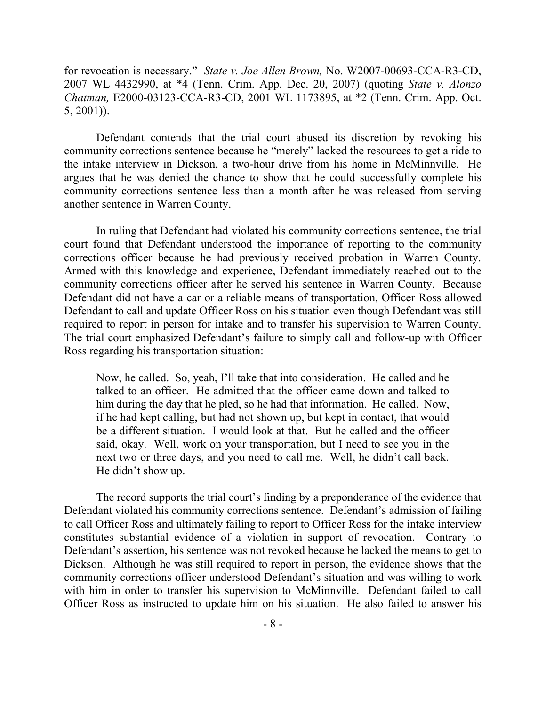for revocation is necessary." *State v. Joe Allen Brown,* No. W2007-00693-CCA-R3-CD, 2007 WL 4432990, at \*4 (Tenn. Crim. App. Dec. 20, 2007) (quoting *State v. Alonzo Chatman,* E2000-03123-CCA-R3-CD, 2001 WL 1173895, at \*2 (Tenn. Crim. App. Oct. 5, 2001)).

Defendant contends that the trial court abused its discretion by revoking his community corrections sentence because he "merely" lacked the resources to get a ride to the intake interview in Dickson, a two-hour drive from his home in McMinnville. He argues that he was denied the chance to show that he could successfully complete his community corrections sentence less than a month after he was released from serving another sentence in Warren County.

In ruling that Defendant had violated his community corrections sentence, the trial court found that Defendant understood the importance of reporting to the community corrections officer because he had previously received probation in Warren County. Armed with this knowledge and experience, Defendant immediately reached out to the community corrections officer after he served his sentence in Warren County. Because Defendant did not have a car or a reliable means of transportation, Officer Ross allowed Defendant to call and update Officer Ross on his situation even though Defendant was still required to report in person for intake and to transfer his supervision to Warren County. The trial court emphasized Defendant's failure to simply call and follow-up with Officer Ross regarding his transportation situation:

Now, he called. So, yeah, I'll take that into consideration. He called and he talked to an officer. He admitted that the officer came down and talked to him during the day that he pled, so he had that information. He called. Now, if he had kept calling, but had not shown up, but kept in contact, that would be a different situation. I would look at that. But he called and the officer said, okay. Well, work on your transportation, but I need to see you in the next two or three days, and you need to call me. Well, he didn't call back. He didn't show up.

The record supports the trial court's finding by a preponderance of the evidence that Defendant violated his community corrections sentence. Defendant's admission of failing to call Officer Ross and ultimately failing to report to Officer Ross for the intake interview constitutes substantial evidence of a violation in support of revocation. Contrary to Defendant's assertion, his sentence was not revoked because he lacked the means to get to Dickson. Although he was still required to report in person, the evidence shows that the community corrections officer understood Defendant's situation and was willing to work with him in order to transfer his supervision to McMinnville. Defendant failed to call Officer Ross as instructed to update him on his situation. He also failed to answer his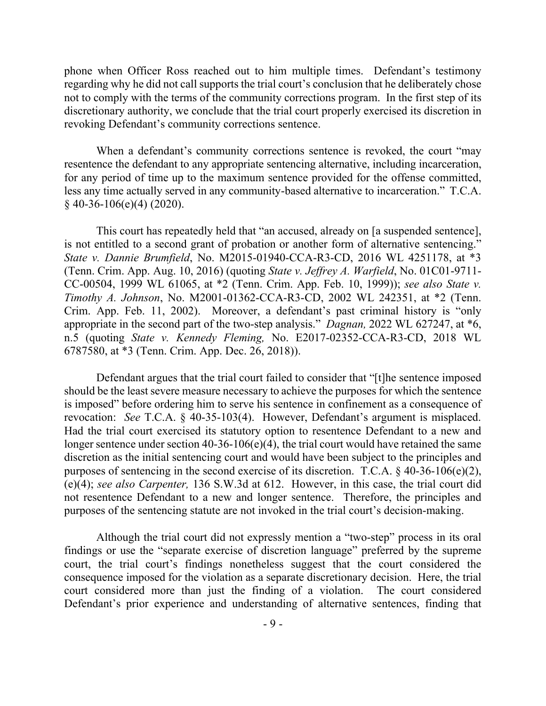phone when Officer Ross reached out to him multiple times. Defendant's testimony regarding why he did not call supports the trial court's conclusion that he deliberately chose not to comply with the terms of the community corrections program. In the first step of its discretionary authority, we conclude that the trial court properly exercised its discretion in revoking Defendant's community corrections sentence.

When a defendant's community corrections sentence is revoked, the court "may resentence the defendant to any appropriate sentencing alternative, including incarceration, for any period of time up to the maximum sentence provided for the offense committed, less any time actually served in any community-based alternative to incarceration." T.C.A.  $§$  40-36-106(e)(4) (2020).

This court has repeatedly held that "an accused, already on [a suspended sentence], is not entitled to a second grant of probation or another form of alternative sentencing." *State v. Dannie Brumfield*, No. M2015-01940-CCA-R3-CD, 2016 WL 4251178, at \*3 (Tenn. Crim. App. Aug. 10, 2016) (quoting *State v. Jeffrey A. Warfield*, No. 01C01-9711- CC-00504, 1999 WL 61065, at \*2 (Tenn. Crim. App. Feb. 10, 1999)); *see also State v. Timothy A. Johnson*, No. M2001-01362-CCA-R3-CD, 2002 WL 242351, at \*2 (Tenn. Crim. App. Feb. 11, 2002). Moreover, a defendant's past criminal history is "only appropriate in the second part of the two-step analysis." *Dagnan,* 2022 WL 627247, at \*6, n.5 (quoting *State v. Kennedy Fleming,* No. E2017-02352-CCA-R3-CD, 2018 WL 6787580, at \*3 (Tenn. Crim. App. Dec. 26, 2018)).

Defendant argues that the trial court failed to consider that "[t]he sentence imposed should be the least severe measure necessary to achieve the purposes for which the sentence is imposed" before ordering him to serve his sentence in confinement as a consequence of revocation: *See* T.C.A. § 40-35-103(4). However, Defendant's argument is misplaced. Had the trial court exercised its statutory option to resentence Defendant to a new and longer sentence under section 40-36-106(e)(4), the trial court would have retained the same discretion as the initial sentencing court and would have been subject to the principles and purposes of sentencing in the second exercise of its discretion. T.C.A.  $\&$  40-36-106(e)(2), (e)(4); *see also Carpenter,* 136 S.W.3d at 612. However, in this case, the trial court did not resentence Defendant to a new and longer sentence. Therefore, the principles and purposes of the sentencing statute are not invoked in the trial court's decision-making.

Although the trial court did not expressly mention a "two-step" process in its oral findings or use the "separate exercise of discretion language" preferred by the supreme court, the trial court's findings nonetheless suggest that the court considered the consequence imposed for the violation as a separate discretionary decision. Here, the trial court considered more than just the finding of a violation. The court considered Defendant's prior experience and understanding of alternative sentences, finding that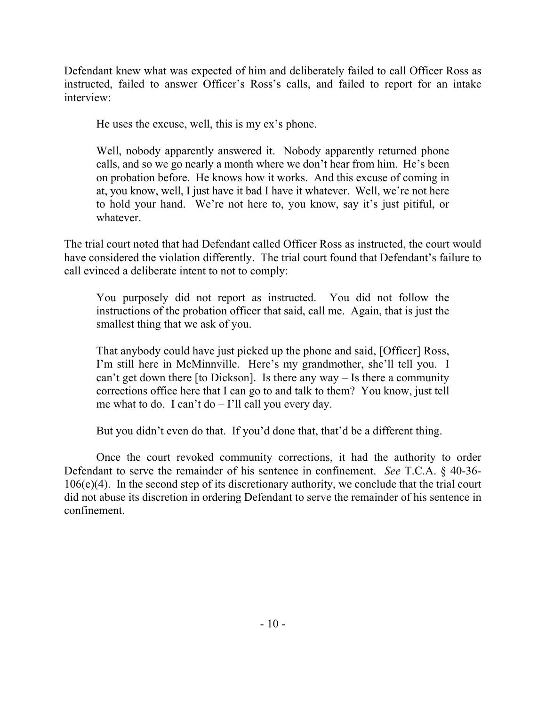Defendant knew what was expected of him and deliberately failed to call Officer Ross as instructed, failed to answer Officer's Ross's calls, and failed to report for an intake interview:

He uses the excuse, well, this is my ex's phone.

Well, nobody apparently answered it. Nobody apparently returned phone calls, and so we go nearly a month where we don't hear from him. He's been on probation before. He knows how it works. And this excuse of coming in at, you know, well, I just have it bad I have it whatever. Well, we're not here to hold your hand. We're not here to, you know, say it's just pitiful, or whatever.

The trial court noted that had Defendant called Officer Ross as instructed, the court would have considered the violation differently. The trial court found that Defendant's failure to call evinced a deliberate intent to not to comply:

You purposely did not report as instructed. You did not follow the instructions of the probation officer that said, call me. Again, that is just the smallest thing that we ask of you.

That anybody could have just picked up the phone and said, [Officer] Ross, I'm still here in McMinnville. Here's my grandmother, she'll tell you. I can't get down there  $[$  to Dickson $]$ . Is there any way – Is there a community corrections office here that I can go to and talk to them? You know, just tell me what to do. I can't do  $-$  I'll call you every day.

But you didn't even do that. If you'd done that, that'd be a different thing.

Once the court revoked community corrections, it had the authority to order Defendant to serve the remainder of his sentence in confinement. *See* T.C.A. § 40-36- 106(e)(4). In the second step of its discretionary authority, we conclude that the trial court did not abuse its discretion in ordering Defendant to serve the remainder of his sentence in confinement.